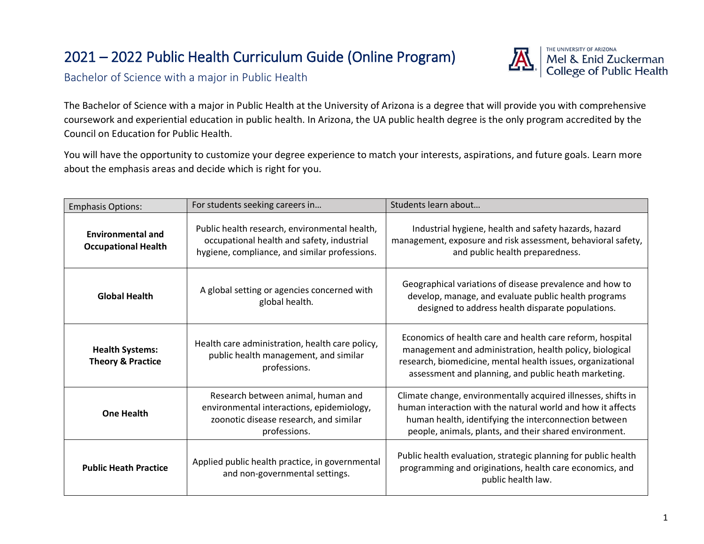# 2021 – 2022 Public Health Curriculum Guide (Online Program)



Bachelor of Science with a major in Public Health

The Bachelor of Science with a major in Public Health at the University of Arizona is a degree that will provide you with comprehensive coursework and experiential education in public health. In Arizona, the UA public health degree is the only program accredited by the Council on Education for Public Health.

You will have the opportunity to customize your degree experience to match your interests, aspirations, and future goals. Learn more about the emphasis areas and decide which is right for you.

| <b>Emphasis Options:</b>                               | For students seeking careers in                                                                                                              | Students learn about                                                                                                                                                                                                                            |
|--------------------------------------------------------|----------------------------------------------------------------------------------------------------------------------------------------------|-------------------------------------------------------------------------------------------------------------------------------------------------------------------------------------------------------------------------------------------------|
| <b>Environmental and</b><br><b>Occupational Health</b> | Public health research, environmental health,<br>occupational health and safety, industrial<br>hygiene, compliance, and similar professions. | Industrial hygiene, health and safety hazards, hazard<br>management, exposure and risk assessment, behavioral safety,<br>and public health preparedness.                                                                                        |
| <b>Global Health</b>                                   | A global setting or agencies concerned with<br>global health.                                                                                | Geographical variations of disease prevalence and how to<br>develop, manage, and evaluate public health programs<br>designed to address health disparate populations.                                                                           |
| <b>Health Systems:</b><br><b>Theory &amp; Practice</b> | Health care administration, health care policy,<br>public health management, and similar<br>professions.                                     | Economics of health care and health care reform, hospital<br>management and administration, health policy, biological<br>research, biomedicine, mental health issues, organizational<br>assessment and planning, and public heath marketing.    |
| <b>One Health</b>                                      | Research between animal, human and<br>environmental interactions, epidemiology,<br>zoonotic disease research, and similar<br>professions.    | Climate change, environmentally acquired illnesses, shifts in<br>human interaction with the natural world and how it affects<br>human health, identifying the interconnection between<br>people, animals, plants, and their shared environment. |
| <b>Public Heath Practice</b>                           | Applied public health practice, in governmental<br>and non-governmental settings.                                                            | Public health evaluation, strategic planning for public health<br>programming and originations, health care economics, and<br>public health law.                                                                                                |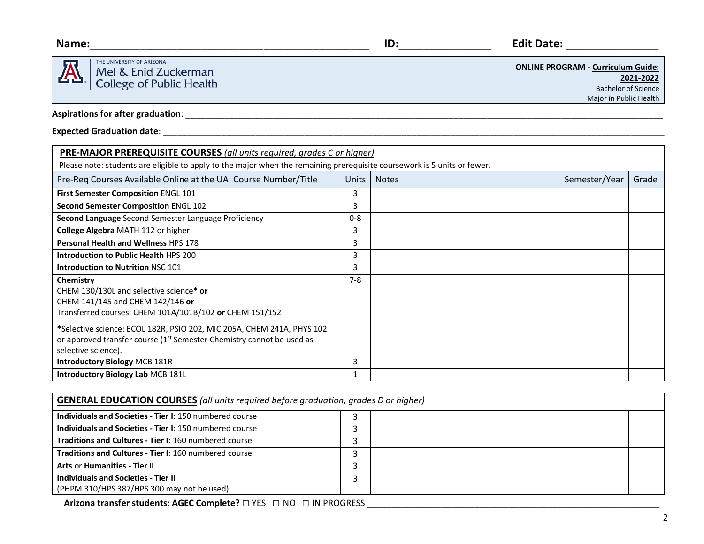

THE UNIVERSITY OF ARIZONA Mel & Enid Zuckerman<br>College of Public Health

**Name:**\_\_\_\_\_\_\_\_\_\_\_\_\_\_\_\_\_\_\_\_\_\_\_\_\_\_\_\_\_\_\_\_\_\_\_\_\_\_\_\_\_\_\_\_\_ **ID:**\_\_\_\_\_\_\_\_\_\_\_\_\_\_\_ **Edit Date:** \_\_\_\_\_\_\_\_\_\_\_\_\_\_\_

**ONLINE PROGRAM - Curriculum Guide: 2021-2022**  Bachelor of Science

Major in Public Health

**Aspirations for after graduation**: \_\_\_\_\_\_\_\_\_\_\_\_\_\_\_\_\_\_\_\_\_\_\_\_\_\_\_\_\_\_\_\_\_\_\_\_\_\_\_\_\_\_\_\_\_\_\_\_\_\_\_\_\_\_\_\_\_\_\_\_\_\_\_\_\_\_\_\_\_\_\_\_\_\_\_\_\_\_\_\_\_\_\_\_\_\_\_\_\_\_\_\_\_\_\_\_\_\_

## **Expected Graduation date**: \_\_\_\_\_\_\_\_\_\_\_\_\_\_\_\_\_\_\_\_\_\_\_\_\_\_\_\_\_\_\_\_\_\_\_\_\_\_\_\_\_\_\_\_\_\_\_\_\_\_\_\_\_\_\_\_\_\_\_\_\_\_\_\_\_\_\_\_\_\_\_\_\_\_\_\_\_\_\_\_\_\_\_\_\_\_\_\_\_\_\_\_\_\_\_\_\_\_\_\_\_\_\_

| <b>PRE-MAJOR PREREQUISITE COURSES</b> (all units required, grades C or higher)                                                                                                     |              |              |               |       |  |  |  |
|------------------------------------------------------------------------------------------------------------------------------------------------------------------------------------|--------------|--------------|---------------|-------|--|--|--|
| Please note: students are eligible to apply to the major when the remaining prerequisite coursework is 5 units or fewer.                                                           |              |              |               |       |  |  |  |
| Pre-Req Courses Available Online at the UA: Course Number/Title                                                                                                                    | <b>Units</b> | <b>Notes</b> | Semester/Year | Grade |  |  |  |
| First Semester Composition ENGL 101                                                                                                                                                | 3            |              |               |       |  |  |  |
| Second Semester Composition ENGL 102                                                                                                                                               | 3            |              |               |       |  |  |  |
| Second Language Second Semester Language Proficiency                                                                                                                               | $0 - 8$      |              |               |       |  |  |  |
| College Algebra MATH 112 or higher                                                                                                                                                 | 3            |              |               |       |  |  |  |
| <b>Personal Health and Wellness HPS 178</b>                                                                                                                                        | 3            |              |               |       |  |  |  |
| Introduction to Public Health HPS 200                                                                                                                                              | 3            |              |               |       |  |  |  |
| Introduction to Nutrition NSC 101                                                                                                                                                  | 3            |              |               |       |  |  |  |
| Chemistry<br>CHEM 130/130L and selective science* or<br>CHEM 141/145 and CHEM 142/146 or<br>Transferred courses: CHEM 101A/101B/102 or CHEM 151/152                                | $7 - 8$      |              |               |       |  |  |  |
| *Selective science: ECOL 182R, PSIO 202, MIC 205A, CHEM 241A, PHYS 102<br>or approved transfer course (1 <sup>st</sup> Semester Chemistry cannot be used as<br>selective science). |              |              |               |       |  |  |  |
| <b>Introductory Biology MCB 181R</b>                                                                                                                                               | 3            |              |               |       |  |  |  |
| Introductory Biology Lab MCB 181L                                                                                                                                                  |              |              |               |       |  |  |  |

| <b>GENERAL EDUCATION COURSES</b> (all units required before graduation, grades D or higher) |  |  |  |  |  |
|---------------------------------------------------------------------------------------------|--|--|--|--|--|
| Individuals and Societies - Tier I: 150 numbered course                                     |  |  |  |  |  |
| Individuals and Societies - Tier I: 150 numbered course                                     |  |  |  |  |  |
| <b>Traditions and Cultures - Tier I: 160 numbered course</b>                                |  |  |  |  |  |
| <b>Traditions and Cultures - Tier I: 160 numbered course</b>                                |  |  |  |  |  |
| Arts or Humanities - Tier II                                                                |  |  |  |  |  |
| Individuals and Societies - Tier II<br>(PHPM 310/HPS 387/HPS 300 may not be used)           |  |  |  |  |  |

**Arizona transfer students: AGEC Complete?** □ YES □ NO □ IN PROGRESS \_\_\_\_\_\_\_\_\_\_\_\_\_\_\_\_\_\_\_\_\_\_\_\_\_\_\_\_\_\_\_\_\_\_\_\_\_\_\_\_\_\_\_\_\_\_\_\_\_\_\_\_\_\_\_\_\_\_\_\_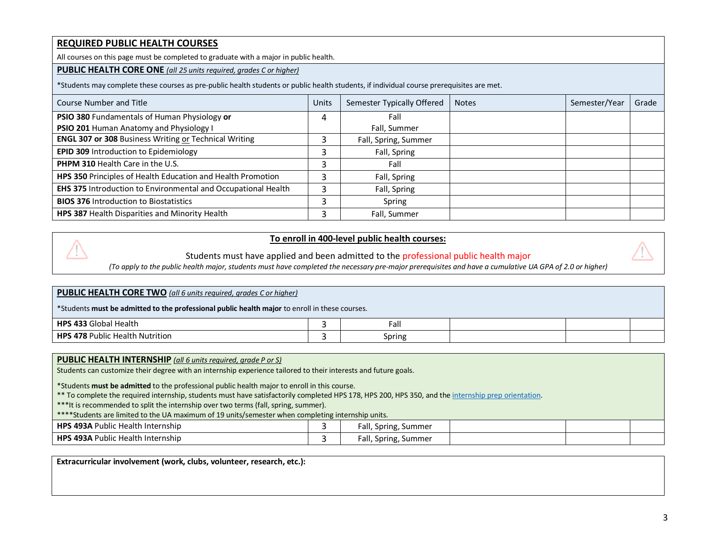### **REQUIRED PUBLIC HEALTH COURSES**

All courses on this page must be completed to graduate with a major in public health.

#### **PUBLIC HEALTH CORE ONE** *(all 25 units required, grades C or higher)*

\*Students may complete these courses as pre-public health students or public health students, if individual course prerequisites are met.

| Course Number and Title                                       | Units | Semester Typically Offered | <b>Notes</b> | Semester/Year | Grade |
|---------------------------------------------------------------|-------|----------------------------|--------------|---------------|-------|
| PSIO 380 Fundamentals of Human Physiology or                  | 4     | Fall                       |              |               |       |
| PSIO 201 Human Anatomy and Physiology I                       |       | Fall, Summer               |              |               |       |
| <b>ENGL 307 or 308 Business Writing or Technical Writing</b>  |       | Fall, Spring, Summer       |              |               |       |
| EPID 309 Introduction to Epidemiology                         | ∍     | Fall, Spring               |              |               |       |
| <b>PHPM 310 Health Care in the U.S.</b>                       |       | Fall                       |              |               |       |
| HPS 350 Principles of Health Education and Health Promotion   |       | Fall, Spring               |              |               |       |
| EHS 375 Introduction to Environmental and Occupational Health |       | Fall, Spring               |              |               |       |
| <b>BIOS 376 Introduction to Biostatistics</b>                 | э     | Spring                     |              |               |       |
| HPS 387 Health Disparities and Minority Health                |       | Fall, Summer               |              |               |       |

#### **To enroll in 400-level public health courses:**

Students must have applied and been admitted to the professional public health major

*(To apply to the public health major, students must have completed the necessary pre-major prerequisites and have a cumulative UA GPA of 2.0 or higher)*

#### **PUBLIC HEALTH CORE TWO** *(all 6 units required, grades C or higher)*

\*Students **must be admitted to the professional public health major** to enroll in these courses.

| <b>HDS</b><br>. .<br>Health<br>Globa                       | Fall   |  |  |
|------------------------------------------------------------|--------|--|--|
| <b>78 Public LL</b><br><b>HDC</b><br>Mutrition ו<br>Health | Spring |  |  |

#### **PUBLIC HEALTH INTERNSHIP** *(all 6 units required, grade P or S)*

Students can customize their degree with an internship experience tailored to their interests and future goals.

\*Students **must be admitted** to the professional public health major to enroll in this course.

\*\* To complete the required internship, students must have satisfactorily completed HPS 178, HPS 200, HPS 350, and the internship prep orientation.

\*\*\*It is recommended to split the internship over two terms (fall, spring, summer).

\*\*\*\*Students are limited to the UA maximum of 19 units/semester when completing internship units.

| <b>HPS 493A Public Health Internship</b> | Fall, Spring, Summer |  |  |
|------------------------------------------|----------------------|--|--|
| <b>HPS 493A Public Health Internship</b> | Fall, Spring, Summer |  |  |

**Extracurricular involvement (work, clubs, volunteer, research, etc.):**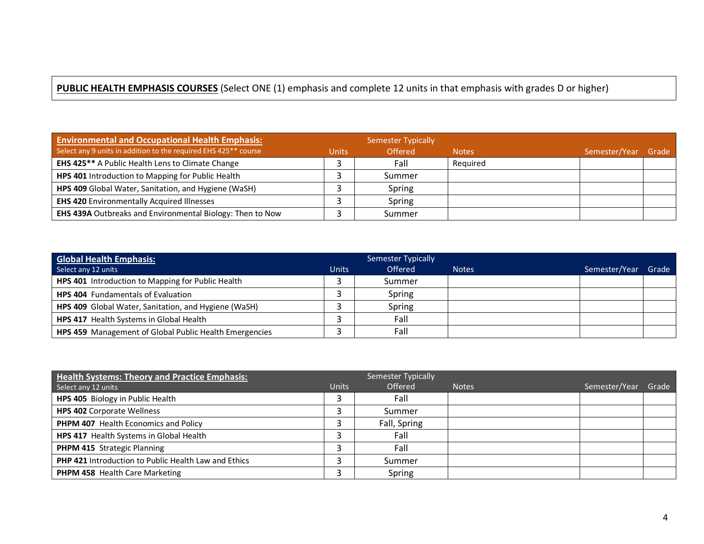## **PUBLIC HEALTH EMPHASIS COURSES** (Select ONE (1) emphasis and complete 12 units in that emphasis with grades D or higher)

| <b>Environmental and Occupational Health Emphasis:</b>                      |              | Semester Typically |              |                     |  |
|-----------------------------------------------------------------------------|--------------|--------------------|--------------|---------------------|--|
| Select any 9 units in addition to the required EHS 425 <sup>**</sup> course | <b>Units</b> | <b>Offered</b>     | <b>Notes</b> | Semester/Year Grade |  |
| EHS 425** A Public Health Lens to Climate Change                            |              | Fall               | Reauired     |                     |  |
| HPS 401 Introduction to Mapping for Public Health                           |              | Summer             |              |                     |  |
| HPS 409 Global Water, Sanitation, and Hygiene (WaSH)                        |              | Spring             |              |                     |  |
| <b>EHS 420 Environmentally Acquired Illnesses</b>                           |              | Spring             |              |                     |  |
| EHS 439A Outbreaks and Environmental Biology: Then to Now                   |              | Summer             |              |                     |  |

| <b>Global Health Emphasis:</b>                         |              | Semester Typically |              |               |       |
|--------------------------------------------------------|--------------|--------------------|--------------|---------------|-------|
| Select any 12 units                                    | <b>Units</b> | <b>Offered</b>     | <b>Notes</b> | Semester/Year | Grade |
| HPS 401 Introduction to Mapping for Public Health      |              | Summer             |              |               |       |
| <b>HPS 404</b> Fundamentals of Evaluation              |              | Spring             |              |               |       |
| HPS 409 Global Water, Sanitation, and Hygiene (WaSH)   |              | Spring             |              |               |       |
| HPS 417 Health Systems in Global Health                |              | Fall               |              |               |       |
| HPS 459 Management of Global Public Health Emergencies |              | Fall               |              |               |       |

| <b>Health Systems: Theory and Practice Emphasis:</b> |              | Semester Typically |              |               |       |
|------------------------------------------------------|--------------|--------------------|--------------|---------------|-------|
| Select any 12 units                                  | <b>Units</b> | <b>Offered</b>     | <b>Notes</b> | Semester/Year | Grade |
| HPS 405 Biology in Public Health                     |              | Fall               |              |               |       |
| <b>HPS 402 Corporate Wellness</b>                    |              | Summer             |              |               |       |
| PHPM 407 Health Economics and Policy                 |              | Fall, Spring       |              |               |       |
| HPS 417 Health Systems in Global Health              |              | Fall               |              |               |       |
| PHPM 415 Strategic Planning                          |              | Fall               |              |               |       |
| PHP 421 Introduction to Public Health Law and Ethics |              | Summer             |              |               |       |
| <b>PHPM 458</b> Health Care Marketing                |              | Spring             |              |               |       |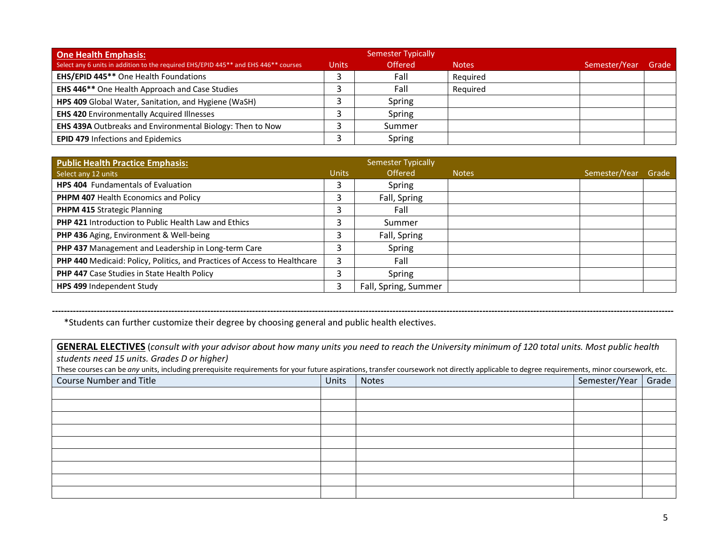| <b>One Health Emphasis:</b>                                                         |              | Semester Typically |              |               |       |
|-------------------------------------------------------------------------------------|--------------|--------------------|--------------|---------------|-------|
| Select any 6 units in addition to the required EHS/EPID 445** and EHS 446** courses | <b>Units</b> | <b>Offered</b>     | <b>Notes</b> | Semester/Year | Grade |
| <b>EHS/EPID 445**</b> One Health Foundations                                        |              | Fall               | Required     |               |       |
| EHS 446** One Health Approach and Case Studies                                      |              | Fall               | Required     |               |       |
| HPS 409 Global Water, Sanitation, and Hygiene (WaSH)                                |              | Spring             |              |               |       |
| <b>EHS 420 Environmentally Acquired Illnesses</b>                                   |              | Spring             |              |               |       |
| EHS 439A Outbreaks and Environmental Biology: Then to Now                           |              | Summer             |              |               |       |
| <b>EPID 479 Infections and Epidemics</b>                                            |              | Spring             |              |               |       |

| <b>Public Health Practice Emphasis:</b>                                   |              | Semester Typically   |              |               |       |
|---------------------------------------------------------------------------|--------------|----------------------|--------------|---------------|-------|
| Select any 12 units                                                       | <b>Units</b> | Offered              | <b>Notes</b> | Semester/Year | Grade |
| HPS 404 Fundamentals of Evaluation                                        |              | Spring               |              |               |       |
| <b>PHPM 407 Health Economics and Policy</b>                               |              | Fall, Spring         |              |               |       |
| PHPM 415 Strategic Planning                                               |              | Fall                 |              |               |       |
| PHP 421 Introduction to Public Health Law and Ethics                      |              | Summer               |              |               |       |
| PHP 436 Aging, Environment & Well-being                                   |              | Fall, Spring         |              |               |       |
| PHP 437 Management and Leadership in Long-term Care                       |              | Spring               |              |               |       |
| PHP 440 Medicaid: Policy, Politics, and Practices of Access to Healthcare | 3            | Fall                 |              |               |       |
| <b>PHP 447</b> Case Studies in State Health Policy                        |              | Spring               |              |               |       |
| HPS 499 Independent Study                                                 | 3            | Fall, Spring, Summer |              |               |       |

\*Students can further customize their degree by choosing general and public health electives.

**GENERAL ELECTIVES** (*consult with your advisor about how many units you need to reach the University minimum of 120 total units. Most public health students need 15 units. Grades D or higher)*

These courses can be *any* units, including prerequisite requirements for your future aspirations, transfer coursework not directly applicable to degree requirements, minor coursework, etc.

**----------------------------------------------------------------------------------------------------------------------------------------------------------------------------------------------------------------**

| <b>Course Number and Title</b> | Units | Notes | Semester/Year   Grade |  |
|--------------------------------|-------|-------|-----------------------|--|
|                                |       |       |                       |  |
|                                |       |       |                       |  |
|                                |       |       |                       |  |
|                                |       |       |                       |  |
|                                |       |       |                       |  |
|                                |       |       |                       |  |
|                                |       |       |                       |  |
|                                |       |       |                       |  |
|                                |       |       |                       |  |